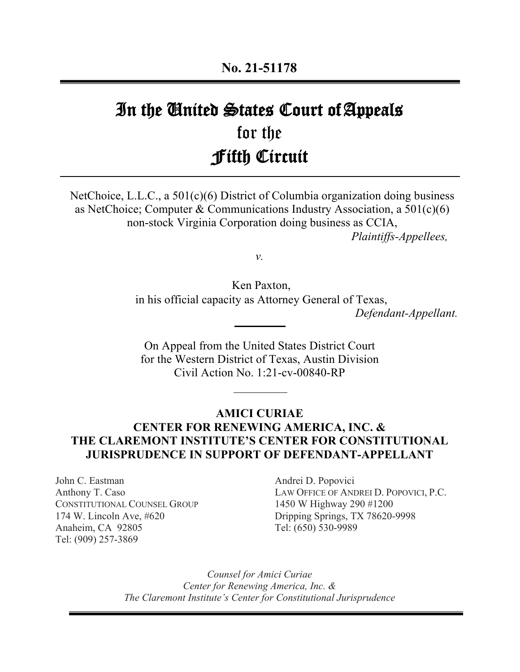# In the United States Court of Appeals for the Fifth Circuit

NetChoice, L.L.C., a 501(c)(6) District of Columbia organization doing business as NetChoice; Computer & Communications Industry Association, a  $501(c)(6)$ non-stock Virginia Corporation doing business as CCIA, *Plaintiffs-Appellees,*

*v.*

Ken Paxton, in his official capacity as Attorney General of Texas, *Defendant-Appellant.*

On Appeal from the United States District Court for the Western District of Texas, Austin Division Civil Action No. 1:21-cv-00840-RP

# **AMICI CURIAE CENTER FOR RENEWING AMERICA, INC. & THE CLAREMONT INSTITUTE'S CENTER FOR CONSTITUTIONAL JURISPRUDENCE IN SUPPORT OF DEFENDANT-APPELLANT**

John C. Eastman Anthony T. Caso CONSTITUTIONAL COUNSEL GROUP 174 W. Lincoln Ave, #620 Anaheim, CA 92805 Tel: (909) 257-3869

Andrei D. Popovici LAW OFFICE OF ANDREI D. POPOVICI, P.C. 1450 W Highway 290 #1200 Dripping Springs, TX 78620-9998 Tel: (650) 530-9989

*Counsel for Amici Curiae Center for Renewing America, Inc. & The Claremont Institute's Center for Constitutional Jurisprudence*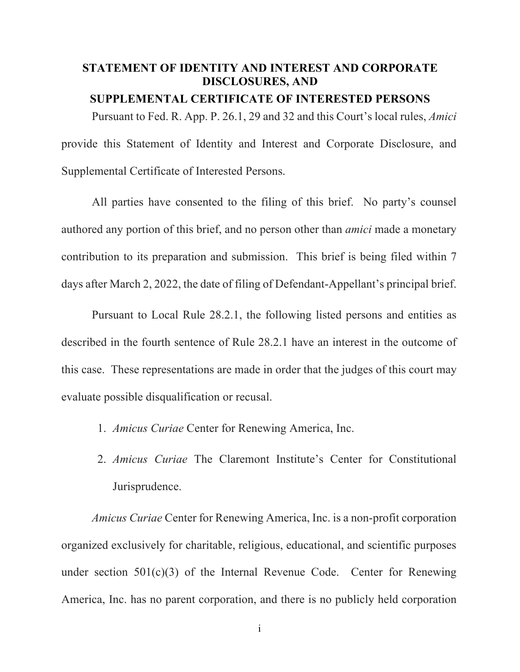# **STATEMENT OF IDENTITY AND INTEREST AND CORPORATE DISCLOSURES, AND**

# **SUPPLEMENTAL CERTIFICATE OF INTERESTED PERSONS**

Pursuant to Fed. R. App. P. 26.1, 29 and 32 and this Court's local rules, *Amici* provide this Statement of Identity and Interest and Corporate Disclosure, and Supplemental Certificate of Interested Persons.

All parties have consented to the filing of this brief. No party's counsel authored any portion of this brief, and no person other than *amici* made a monetary contribution to its preparation and submission. This brief is being filed within 7 days after March 2, 2022, the date of filing of Defendant-Appellant's principal brief.

Pursuant to Local Rule 28.2.1, the following listed persons and entities as described in the fourth sentence of Rule 28.2.1 have an interest in the outcome of this case. These representations are made in order that the judges of this court may evaluate possible disqualification or recusal.

- 1. *Amicus Curiae* Center for Renewing America, Inc.
- 2. *Amicus Curiae* The Claremont Institute's Center for Constitutional Jurisprudence.

*Amicus Curiae* Center for Renewing America, Inc. is a non-profit corporation organized exclusively for charitable, religious, educational, and scientific purposes under section  $501(c)(3)$  of the Internal Revenue Code. Center for Renewing America, Inc. has no parent corporation, and there is no publicly held corporation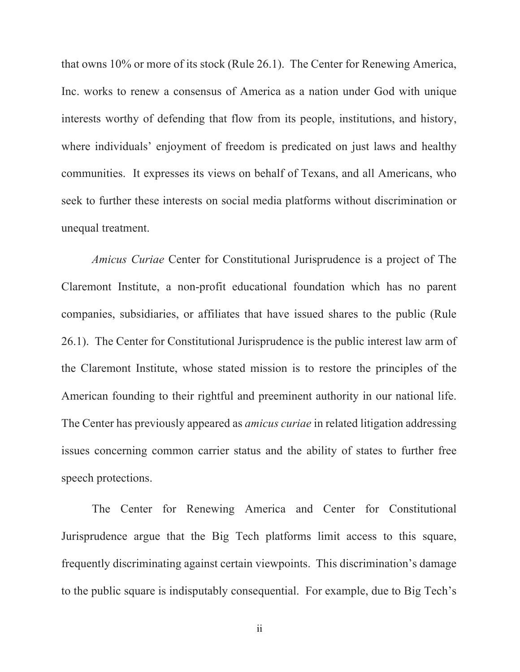that owns 10% or more of its stock (Rule 26.1). The Center for Renewing America, Inc. works to renew a consensus of America as a nation under God with unique interests worthy of defending that flow from its people, institutions, and history, where individuals' enjoyment of freedom is predicated on just laws and healthy communities. It expresses its views on behalf of Texans, and all Americans, who seek to further these interests on social media platforms without discrimination or unequal treatment.

*Amicus Curiae* Center for Constitutional Jurisprudence is a project of The Claremont Institute, a non-profit educational foundation which has no parent companies, subsidiaries, or affiliates that have issued shares to the public (Rule 26.1). The Center for Constitutional Jurisprudence is the public interest law arm of the Claremont Institute, whose stated mission is to restore the principles of the American founding to their rightful and preeminent authority in our national life. The Center has previously appeared as *amicus curiae* in related litigation addressing issues concerning common carrier status and the ability of states to further free speech protections.

The Center for Renewing America and Center for Constitutional Jurisprudence argue that the Big Tech platforms limit access to this square, frequently discriminating against certain viewpoints. This discrimination's damage to the public square is indisputably consequential. For example, due to Big Tech's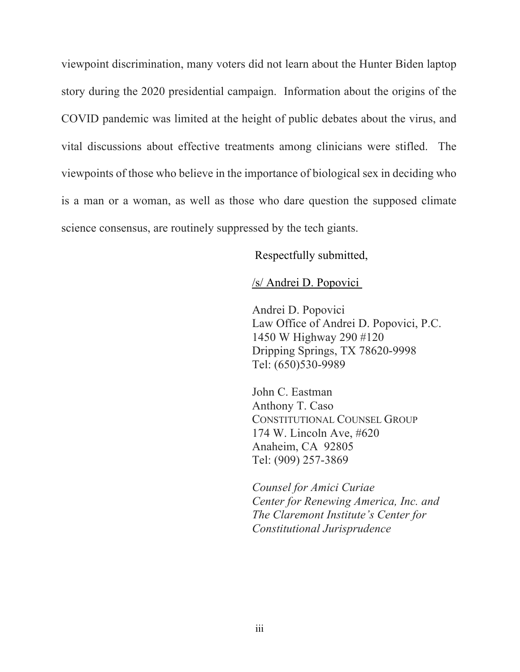viewpoint discrimination, many voters did not learn about the Hunter Biden laptop story during the 2020 presidential campaign. Information about the origins of the COVID pandemic was limited at the height of public debates about the virus, and vital discussions about effective treatments among clinicians were stifled. The viewpoints of those who believe in the importance of biological sex in deciding who is a man or a woman, as well as those who dare question the supposed climate science consensus, are routinely suppressed by the tech giants.

Respectfully submitted,

/s/ Andrei D. Popovici

Andrei D. Popovici Law Office of Andrei D. Popovici, P.C. 1450 W Highway 290 #120 Dripping Springs, TX 78620-9998 Tel: (650)530-9989

John C. Eastman Anthony T. Caso CONSTITUTIONAL COUNSEL GROUP 174 W. Lincoln Ave, #620 Anaheim, CA 92805 Tel: (909) 257-3869

*Counsel for Amici Curiae Center for Renewing America, Inc. and The Claremont Institute's Center for Constitutional Jurisprudence*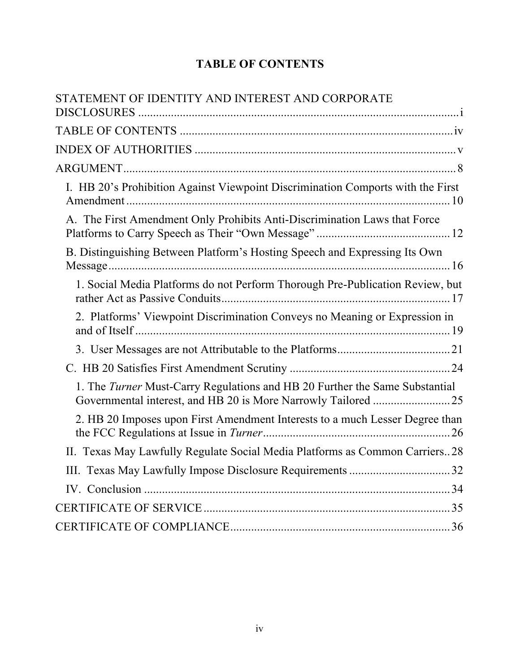# **TABLE OF CONTENTS**

| STATEMENT OF IDENTITY AND INTEREST AND CORPORATE                                |
|---------------------------------------------------------------------------------|
|                                                                                 |
|                                                                                 |
|                                                                                 |
| I. HB 20's Prohibition Against Viewpoint Discrimination Comports with the First |
| A. The First Amendment Only Prohibits Anti-Discrimination Laws that Force       |
| B. Distinguishing Between Platform's Hosting Speech and Expressing Its Own      |
| 1. Social Media Platforms do not Perform Thorough Pre-Publication Review, but   |
| 2. Platforms' Viewpoint Discrimination Conveys no Meaning or Expression in      |
|                                                                                 |
|                                                                                 |
| 1. The Turner Must-Carry Regulations and HB 20 Further the Same Substantial     |
| 2. HB 20 Imposes upon First Amendment Interests to a much Lesser Degree than    |
| II. Texas May Lawfully Regulate Social Media Platforms as Common Carriers28     |
| III. Texas May Lawfully Impose Disclosure Requirements 32                       |
|                                                                                 |
|                                                                                 |
|                                                                                 |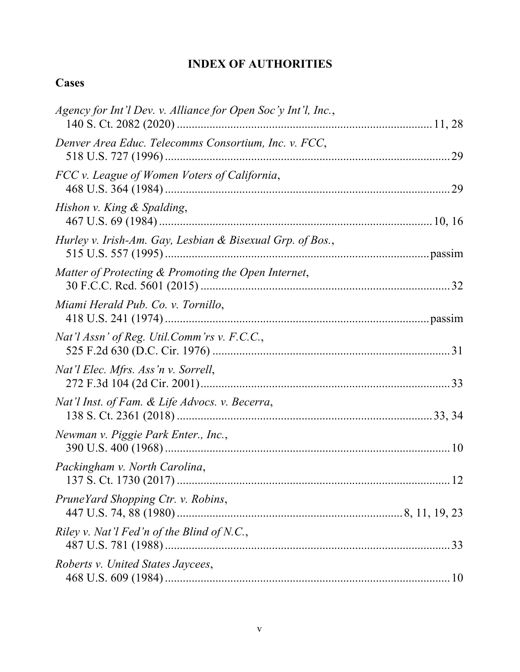# **INDEX OF AUTHORITIES**

# **Cases**

| Agency for Int'l Dev. v. Alliance for Open Soc'y Int'l, Inc., |  |
|---------------------------------------------------------------|--|
| Denver Area Educ. Telecomms Consortium, Inc. v. FCC,          |  |
| FCC v. League of Women Voters of California,                  |  |
| Hishon v. King & Spalding,                                    |  |
| Hurley v. Irish-Am. Gay, Lesbian & Bisexual Grp. of Bos.,     |  |
| Matter of Protecting & Promoting the Open Internet,           |  |
| Miami Herald Pub. Co. v. Tornillo,                            |  |
| Nat'l Assn' of Reg. Util.Comm'rs v. F.C.C.,                   |  |
| Nat'l Elec. Mfrs. Ass'n v. Sorrell,                           |  |
| Nat'l Inst. of Fam. & Life Advocs. v. Becerra,                |  |
| Newman v. Piggie Park Enter., Inc.,                           |  |
| Packingham v. North Carolina,                                 |  |
| PruneYard Shopping Ctr. v. Robins,                            |  |
| Riley v. Nat'l Fed'n of the Blind of N.C.,                    |  |
| Roberts v. United States Jaycees,                             |  |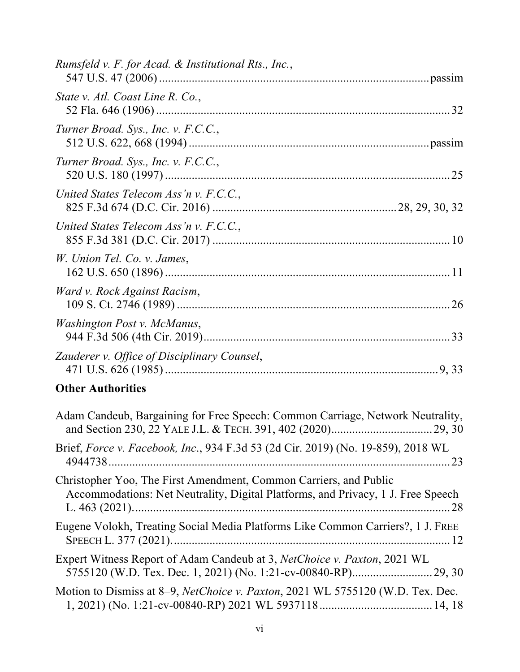| Rumsfeld v. F. for Acad. & Institutional Rts., Inc., |  |
|------------------------------------------------------|--|
| State v. Atl. Coast Line R. Co.,                     |  |
| Turner Broad. Sys., Inc. v. F.C.C.,                  |  |
| Turner Broad. Sys., Inc. v. F.C.C.,                  |  |
| United States Telecom Ass'n v. F.C.C.,               |  |
| United States Telecom Ass'n v. F.C.C.,               |  |
| W. Union Tel. Co. v. James,                          |  |
| Ward v. Rock Against Racism,                         |  |
| <i>Washington Post v. McManus,</i>                   |  |
| Zauderer v. Office of Disciplinary Counsel,          |  |

# **Other Authorities**

| Adam Candeub, Bargaining for Free Speech: Common Carriage, Network Neutrality,                                                                        |
|-------------------------------------------------------------------------------------------------------------------------------------------------------|
| Brief, Force v. Facebook, Inc., 934 F.3d 53 (2d Cir. 2019) (No. 19-859), 2018 WL                                                                      |
| Christopher Yoo, The First Amendment, Common Carriers, and Public<br>Accommodations: Net Neutrality, Digital Platforms, and Privacy, 1 J. Free Speech |
| Eugene Volokh, Treating Social Media Platforms Like Common Carriers?, 1 J. FREE                                                                       |
| Expert Witness Report of Adam Candeub at 3, NetChoice v. Paxton, 2021 WL                                                                              |
| Motion to Dismiss at 8–9, NetChoice v. Paxton, 2021 WL 5755120 (W.D. Tex. Dec.                                                                        |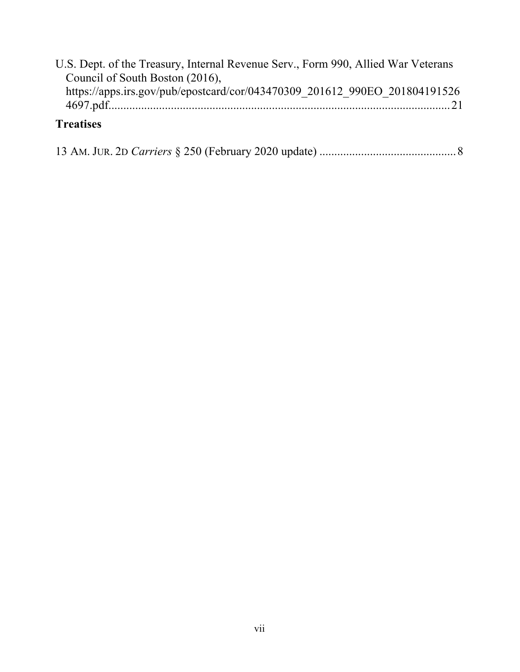| U.S. Dept. of the Treasury, Internal Revenue Serv., Form 990, Allied War Veterans |  |
|-----------------------------------------------------------------------------------|--|
| Council of South Boston (2016),                                                   |  |
| https://apps.irs.gov/pub/epostcard/cor/043470309 201612 990EO 201804191526        |  |
|                                                                                   |  |
| $T_{\text{meas}}$                                                                 |  |

#### **Treatises**

|--|--|--|--|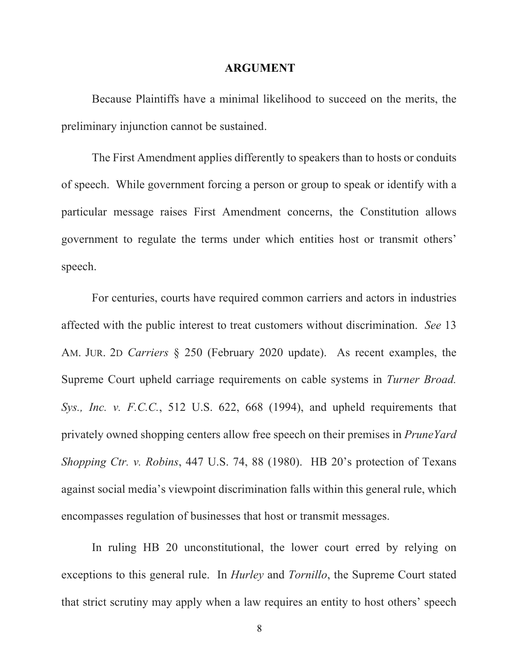#### **ARGUMENT**

Because Plaintiffs have a minimal likelihood to succeed on the merits, the preliminary injunction cannot be sustained.

The First Amendment applies differently to speakers than to hosts or conduits of speech. While government forcing a person or group to speak or identify with a particular message raises First Amendment concerns, the Constitution allows government to regulate the terms under which entities host or transmit others' speech.

For centuries, courts have required common carriers and actors in industries affected with the public interest to treat customers without discrimination. *See* 13 AM. JUR. 2D *Carriers* § 250 (February 2020 update). As recent examples, the Supreme Court upheld carriage requirements on cable systems in *Turner Broad. Sys., Inc. v. F.C.C.*, 512 U.S. 622, 668 (1994), and upheld requirements that privately owned shopping centers allow free speech on their premises in *PruneYard Shopping Ctr. v. Robins*, 447 U.S. 74, 88 (1980). HB 20's protection of Texans against social media's viewpoint discrimination falls within this general rule, which encompasses regulation of businesses that host or transmit messages.

In ruling HB 20 unconstitutional, the lower court erred by relying on exceptions to this general rule. In *Hurley* and *Tornillo*, the Supreme Court stated that strict scrutiny may apply when a law requires an entity to host others' speech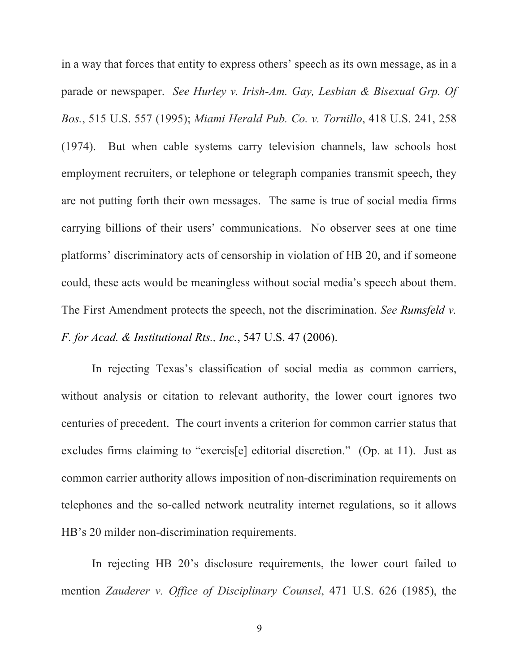in a way that forces that entity to express others' speech as its own message, as in a parade or newspaper. *See Hurley v. Irish-Am. Gay, Lesbian & Bisexual Grp. Of Bos.*, 515 U.S. 557 (1995); *Miami Herald Pub. Co. v. Tornillo*, 418 U.S. 241, 258 (1974). But when cable systems carry television channels, law schools host employment recruiters, or telephone or telegraph companies transmit speech, they are not putting forth their own messages. The same is true of social media firms carrying billions of their users' communications. No observer sees at one time platforms' discriminatory acts of censorship in violation of HB 20, and if someone could, these acts would be meaningless without social media's speech about them. The First Amendment protects the speech, not the discrimination. *See Rumsfeld v. F. for Acad. & Institutional Rts., Inc.*, 547 U.S. 47 (2006).

In rejecting Texas's classification of social media as common carriers, without analysis or citation to relevant authority, the lower court ignores two centuries of precedent. The court invents a criterion for common carrier status that excludes firms claiming to "exercis[e] editorial discretion." (Op. at 11). Just as common carrier authority allows imposition of non-discrimination requirements on telephones and the so-called network neutrality internet regulations, so it allows HB's 20 milder non-discrimination requirements.

In rejecting HB 20's disclosure requirements, the lower court failed to mention *Zauderer v. Office of Disciplinary Counsel*, 471 U.S. 626 (1985), the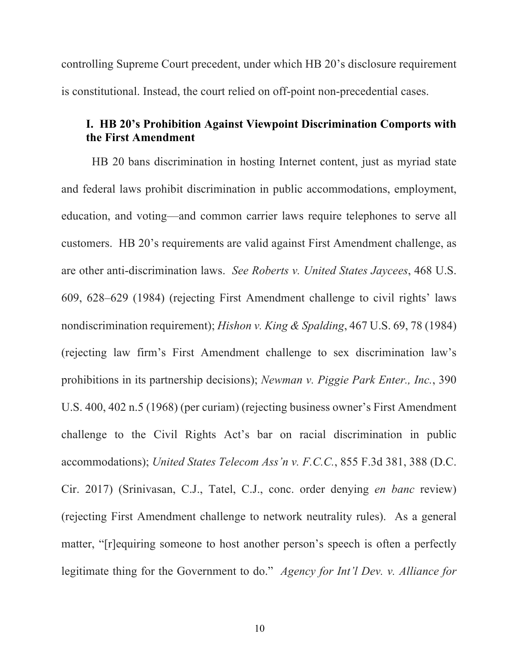controlling Supreme Court precedent, under which HB 20's disclosure requirement is constitutional. Instead, the court relied on off-point non-precedential cases.

## **I. HB 20's Prohibition Against Viewpoint Discrimination Comports with the First Amendment**

HB 20 bans discrimination in hosting Internet content, just as myriad state and federal laws prohibit discrimination in public accommodations, employment, education, and voting—and common carrier laws require telephones to serve all customers. HB 20's requirements are valid against First Amendment challenge, as are other anti-discrimination laws. *See Roberts v. United States Jaycees*, 468 U.S. 609, 628–629 (1984) (rejecting First Amendment challenge to civil rights' laws nondiscrimination requirement); *Hishon v. King & Spalding*, 467 U.S. 69, 78 (1984) (rejecting law firm's First Amendment challenge to sex discrimination law's prohibitions in its partnership decisions); *Newman v. Piggie Park Enter., Inc.*, 390 U.S. 400, 402 n.5 (1968) (per curiam) (rejecting business owner's First Amendment challenge to the Civil Rights Act's bar on racial discrimination in public accommodations); *United States Telecom Ass'n v. F.C.C.*, 855 F.3d 381, 388 (D.C. Cir. 2017) (Srinivasan, C.J., Tatel, C.J., conc. order denying *en banc* review) (rejecting First Amendment challenge to network neutrality rules). As a general matter, "[r]equiring someone to host another person's speech is often a perfectly legitimate thing for the Government to do." *Agency for Int'l Dev. v. Alliance for*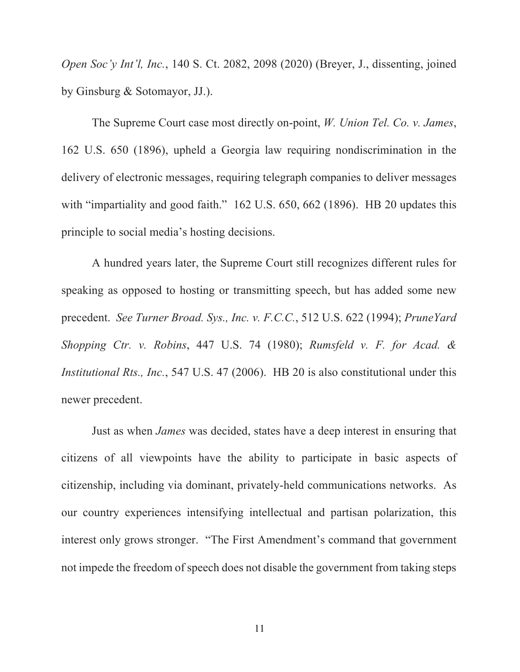*Open Soc'y Int'l, Inc.*, 140 S. Ct. 2082, 2098 (2020) (Breyer, J., dissenting, joined by Ginsburg & Sotomayor, JJ.).

The Supreme Court case most directly on-point, *W. Union Tel. Co. v. James*, 162 U.S. 650 (1896), upheld a Georgia law requiring nondiscrimination in the delivery of electronic messages, requiring telegraph companies to deliver messages with "impartiality and good faith." 162 U.S. 650, 662 (1896). HB 20 updates this principle to social media's hosting decisions.

A hundred years later, the Supreme Court still recognizes different rules for speaking as opposed to hosting or transmitting speech, but has added some new precedent. *See Turner Broad. Sys., Inc. v. F.C.C.*, 512 U.S. 622 (1994); *PruneYard Shopping Ctr. v. Robins*, 447 U.S. 74 (1980); *Rumsfeld v. F. for Acad. & Institutional Rts., Inc.*, 547 U.S. 47 (2006). HB 20 is also constitutional under this newer precedent.

Just as when *James* was decided, states have a deep interest in ensuring that citizens of all viewpoints have the ability to participate in basic aspects of citizenship, including via dominant, privately-held communications networks. As our country experiences intensifying intellectual and partisan polarization, this interest only grows stronger. "The First Amendment's command that government not impede the freedom of speech does not disable the government from taking steps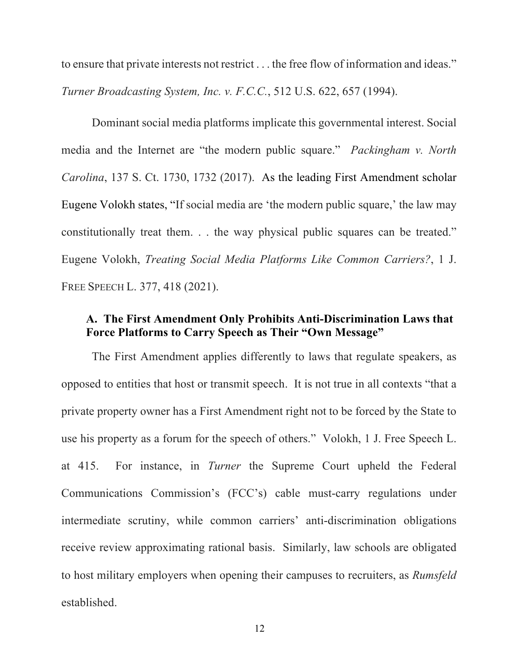to ensure that private interests not restrict . . . the free flow of information and ideas." *Turner Broadcasting System, Inc. v. F.C.C.*, 512 U.S. 622, 657 (1994).

Dominant social media platforms implicate this governmental interest. Social media and the Internet are "the modern public square." *Packingham v. North Carolina*, 137 S. Ct. 1730, 1732 (2017). As the leading First Amendment scholar Eugene Volokh states, "If social media are 'the modern public square,' the law may constitutionally treat them. . . the way physical public squares can be treated." Eugene Volokh, *Treating Social Media Platforms Like Common Carriers?*, 1 J. FREE SPEECH L. 377, 418 (2021).

# **A. The First Amendment Only Prohibits Anti-Discrimination Laws that Force Platforms to Carry Speech as Their "Own Message"**

The First Amendment applies differently to laws that regulate speakers, as opposed to entities that host or transmit speech. It is not true in all contexts "that a private property owner has a First Amendment right not to be forced by the State to use his property as a forum for the speech of others." Volokh, 1 J. Free Speech L. at 415. For instance, in *Turner* the Supreme Court upheld the Federal Communications Commission's (FCC's) cable must-carry regulations under intermediate scrutiny, while common carriers' anti-discrimination obligations receive review approximating rational basis. Similarly, law schools are obligated to host military employers when opening their campuses to recruiters, as *Rumsfeld* established.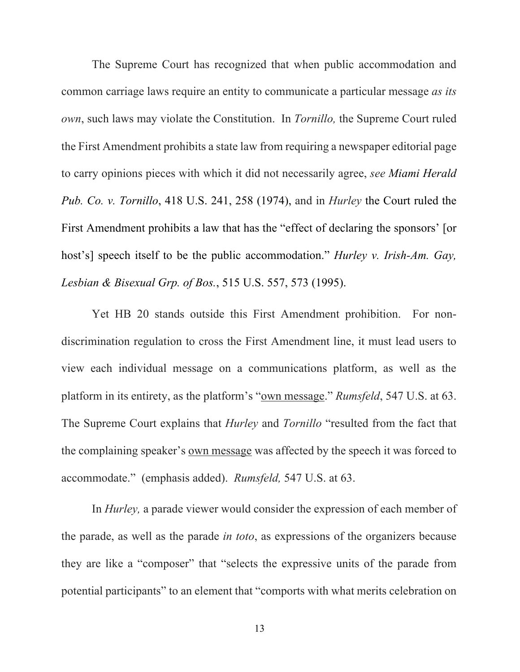The Supreme Court has recognized that when public accommodation and common carriage laws require an entity to communicate a particular message *as its own*, such laws may violate the Constitution. In *Tornillo,* the Supreme Court ruled the First Amendment prohibits a state law from requiring a newspaper editorial page to carry opinions pieces with which it did not necessarily agree, *see Miami Herald Pub. Co. v. Tornillo*, 418 U.S. 241, 258 (1974), and in *Hurley* the Court ruled the First Amendment prohibits a law that has the "effect of declaring the sponsors' [or host's] speech itself to be the public accommodation." *Hurley v. Irish-Am. Gay, Lesbian & Bisexual Grp. of Bos.*, 515 U.S. 557, 573 (1995).

Yet HB 20 stands outside this First Amendment prohibition. For nondiscrimination regulation to cross the First Amendment line, it must lead users to view each individual message on a communications platform, as well as the platform in its entirety, as the platform's "own message." *Rumsfeld*, 547 U.S. at 63. The Supreme Court explains that *Hurley* and *Tornillo* "resulted from the fact that the complaining speaker's own message was affected by the speech it was forced to accommodate." (emphasis added). *Rumsfeld,* 547 U.S. at 63.

In *Hurley,* a parade viewer would consider the expression of each member of the parade, as well as the parade *in toto*, as expressions of the organizers because they are like a "composer" that "selects the expressive units of the parade from potential participants" to an element that "comports with what merits celebration on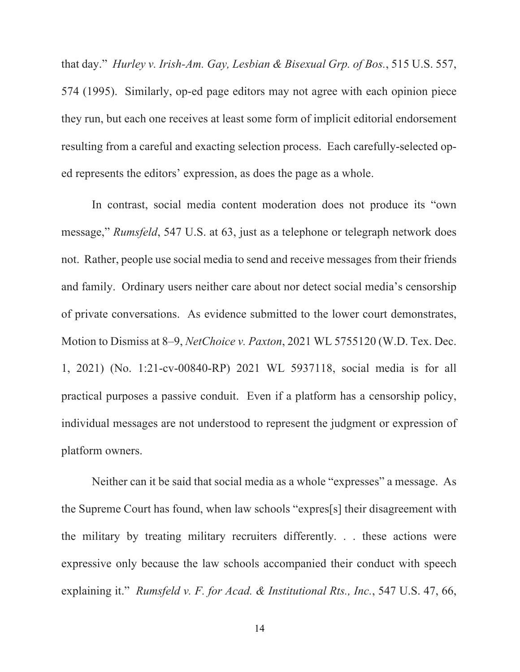that day." *Hurley v. Irish-Am. Gay, Lesbian & Bisexual Grp. of Bos.*, 515 U.S. 557, 574 (1995). Similarly, op-ed page editors may not agree with each opinion piece they run, but each one receives at least some form of implicit editorial endorsement resulting from a careful and exacting selection process. Each carefully-selected oped represents the editors' expression, as does the page as a whole.

In contrast, social media content moderation does not produce its "own message," *Rumsfeld*, 547 U.S. at 63, just as a telephone or telegraph network does not. Rather, people use social media to send and receive messages from their friends and family. Ordinary users neither care about nor detect social media's censorship of private conversations. As evidence submitted to the lower court demonstrates, Motion to Dismiss at 8–9, *NetChoice v. Paxton*, 2021 WL 5755120 (W.D. Tex. Dec. 1, 2021) (No. 1:21-cv-00840-RP) 2021 WL 5937118, social media is for all practical purposes a passive conduit. Even if a platform has a censorship policy, individual messages are not understood to represent the judgment or expression of platform owners.

Neither can it be said that social media as a whole "expresses" a message. As the Supreme Court has found, when law schools "expres[s] their disagreement with the military by treating military recruiters differently. . . these actions were expressive only because the law schools accompanied their conduct with speech explaining it." *Rumsfeld v. F. for Acad. & Institutional Rts., Inc.*, 547 U.S. 47, 66,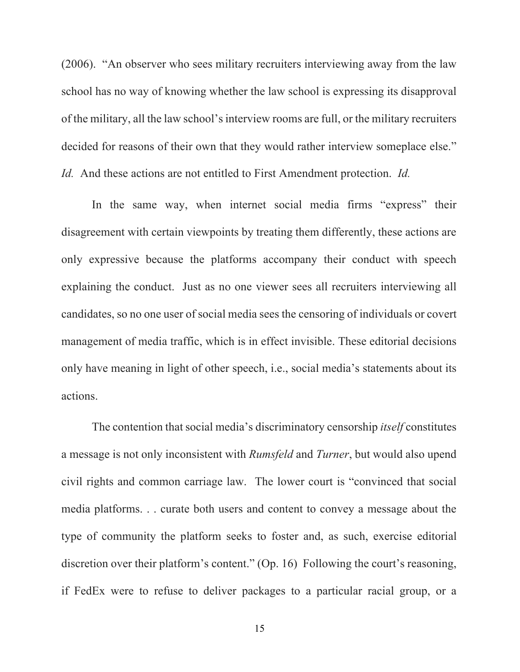(2006). "An observer who sees military recruiters interviewing away from the law school has no way of knowing whether the law school is expressing its disapproval of the military, all the law school's interview rooms are full, or the military recruiters decided for reasons of their own that they would rather interview someplace else." *Id.* And these actions are not entitled to First Amendment protection. *Id.*

In the same way, when internet social media firms "express" their disagreement with certain viewpoints by treating them differently, these actions are only expressive because the platforms accompany their conduct with speech explaining the conduct. Just as no one viewer sees all recruiters interviewing all candidates, so no one user of social media sees the censoring of individuals or covert management of media traffic, which is in effect invisible. These editorial decisions only have meaning in light of other speech, i.e., social media's statements about its actions.

The contention that social media's discriminatory censorship *itself* constitutes a message is not only inconsistent with *Rumsfeld* and *Turner*, but would also upend civil rights and common carriage law. The lower court is "convinced that social media platforms. . . curate both users and content to convey a message about the type of community the platform seeks to foster and, as such, exercise editorial discretion over their platform's content." (Op. 16) Following the court's reasoning, if FedEx were to refuse to deliver packages to a particular racial group, or a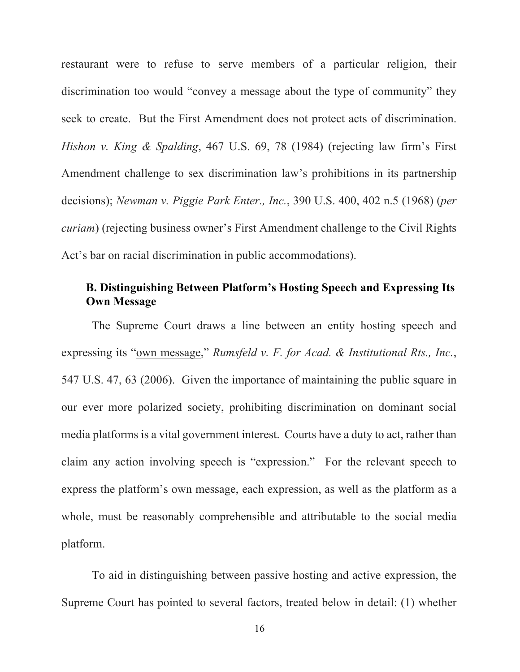restaurant were to refuse to serve members of a particular religion, their discrimination too would "convey a message about the type of community" they seek to create. But the First Amendment does not protect acts of discrimination. *Hishon v. King & Spalding*, 467 U.S. 69, 78 (1984) (rejecting law firm's First Amendment challenge to sex discrimination law's prohibitions in its partnership decisions); *Newman v. Piggie Park Enter., Inc.*, 390 U.S. 400, 402 n.5 (1968) (*per curiam*) (rejecting business owner's First Amendment challenge to the Civil Rights Act's bar on racial discrimination in public accommodations).

# **B. Distinguishing Between Platform's Hosting Speech and Expressing Its Own Message**

The Supreme Court draws a line between an entity hosting speech and expressing its "own message," *Rumsfeld v. F. for Acad. & Institutional Rts., Inc.*, 547 U.S. 47, 63 (2006). Given the importance of maintaining the public square in our ever more polarized society, prohibiting discrimination on dominant social media platforms is a vital government interest. Courts have a duty to act, rather than claim any action involving speech is "expression." For the relevant speech to express the platform's own message, each expression, as well as the platform as a whole, must be reasonably comprehensible and attributable to the social media platform.

To aid in distinguishing between passive hosting and active expression, the Supreme Court has pointed to several factors, treated below in detail: (1) whether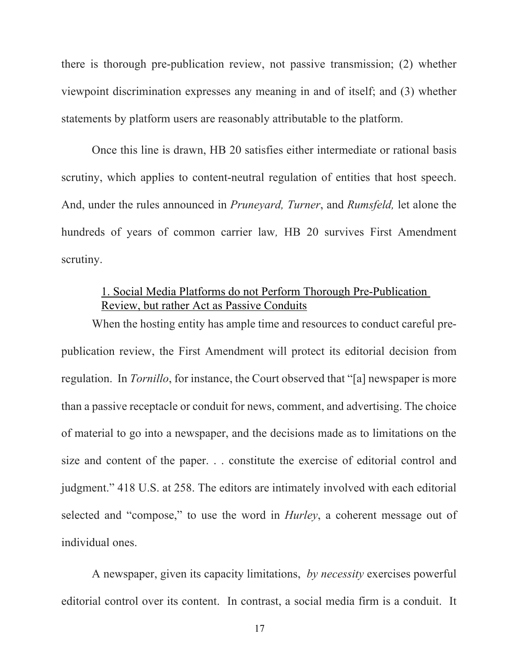there is thorough pre-publication review, not passive transmission; (2) whether viewpoint discrimination expresses any meaning in and of itself; and (3) whether statements by platform users are reasonably attributable to the platform.

Once this line is drawn, HB 20 satisfies either intermediate or rational basis scrutiny, which applies to content-neutral regulation of entities that host speech. And, under the rules announced in *Pruneyard, Turner*, and *Rumsfeld,* let alone the hundreds of years of common carrier law*,* HB 20 survives First Amendment scrutiny.

# 1. Social Media Platforms do not Perform Thorough Pre-Publication Review, but rather Act as Passive Conduits

When the hosting entity has ample time and resources to conduct careful prepublication review, the First Amendment will protect its editorial decision from regulation. In *Tornillo*, for instance, the Court observed that "[a] newspaper is more than a passive receptacle or conduit for news, comment, and advertising. The choice of material to go into a newspaper, and the decisions made as to limitations on the size and content of the paper. . . constitute the exercise of editorial control and judgment." 418 U.S. at 258. The editors are intimately involved with each editorial selected and "compose," to use the word in *Hurley*, a coherent message out of individual ones.

A newspaper, given its capacity limitations, *by necessity* exercises powerful editorial control over its content. In contrast, a social media firm is a conduit. It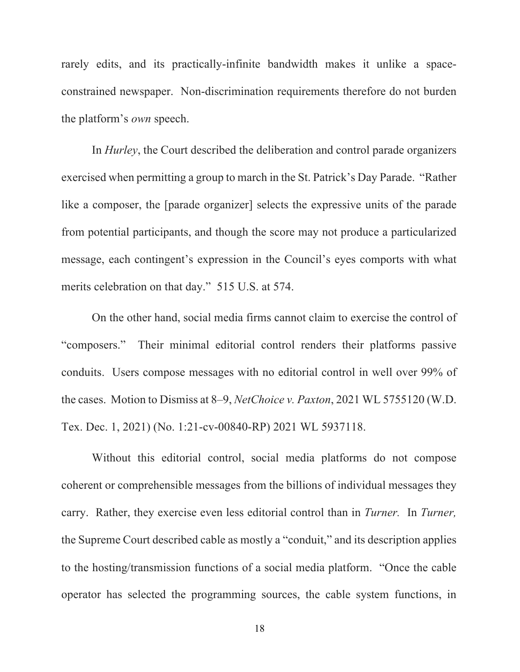rarely edits, and its practically-infinite bandwidth makes it unlike a spaceconstrained newspaper. Non-discrimination requirements therefore do not burden the platform's *own* speech.

In *Hurley*, the Court described the deliberation and control parade organizers exercised when permitting a group to march in the St. Patrick's Day Parade. "Rather like a composer, the [parade organizer] selects the expressive units of the parade from potential participants, and though the score may not produce a particularized message, each contingent's expression in the Council's eyes comports with what merits celebration on that day." 515 U.S. at 574.

On the other hand, social media firms cannot claim to exercise the control of "composers." Their minimal editorial control renders their platforms passive conduits. Users compose messages with no editorial control in well over 99% of the cases. Motion to Dismiss at 8–9, *NetChoice v. Paxton*, 2021 WL 5755120 (W.D. Tex. Dec. 1, 2021) (No. 1:21-cv-00840-RP) 2021 WL 5937118.

Without this editorial control, social media platforms do not compose coherent or comprehensible messages from the billions of individual messages they carry. Rather, they exercise even less editorial control than in *Turner.* In *Turner,* the Supreme Court described cable as mostly a "conduit," and its description applies to the hosting/transmission functions of a social media platform. "Once the cable operator has selected the programming sources, the cable system functions, in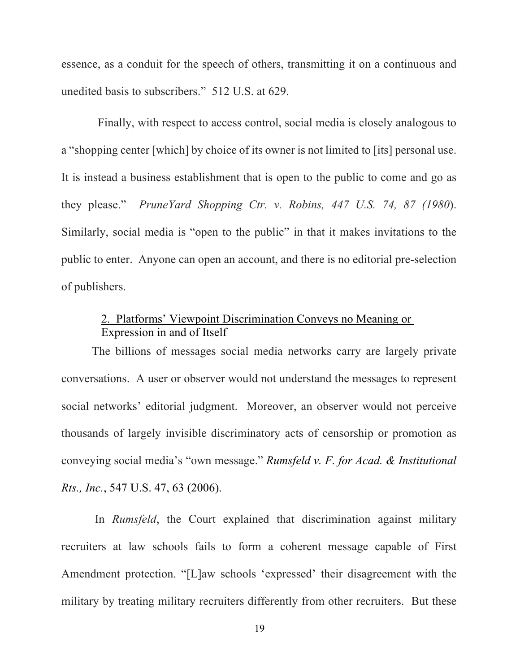essence, as a conduit for the speech of others, transmitting it on a continuous and unedited basis to subscribers." 512 U.S. at 629.

 Finally, with respect to access control, social media is closely analogous to a "shopping center [which] by choice of its owner is not limited to [its] personal use. It is instead a business establishment that is open to the public to come and go as they please." *PruneYard Shopping Ctr. v. Robins, 447 U.S. 74, 87 (1980*). Similarly, social media is "open to the public" in that it makes invitations to the public to enter. Anyone can open an account, and there is no editorial pre-selection of publishers.

# 2. Platforms' Viewpoint Discrimination Conveys no Meaning or Expression in and of Itself

The billions of messages social media networks carry are largely private conversations. A user or observer would not understand the messages to represent social networks' editorial judgment. Moreover, an observer would not perceive thousands of largely invisible discriminatory acts of censorship or promotion as conveying social media's "own message." *Rumsfeld v. F. for Acad. & Institutional Rts., Inc.*, 547 U.S. 47, 63 (2006).

In *Rumsfeld*, the Court explained that discrimination against military recruiters at law schools fails to form a coherent message capable of First Amendment protection. "[L]aw schools 'expressed' their disagreement with the military by treating military recruiters differently from other recruiters. But these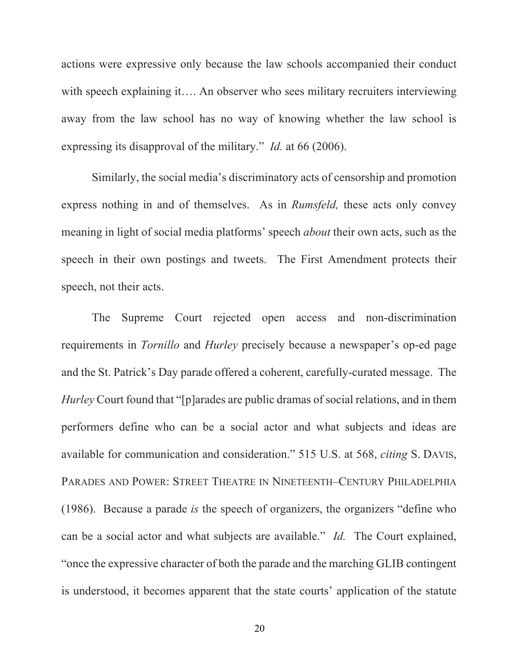actions were expressive only because the law schools accompanied their conduct with speech explaining it…. An observer who sees military recruiters interviewing away from the law school has no way of knowing whether the law school is expressing its disapproval of the military." *Id.* at 66 (2006).

Similarly, the social media's discriminatory acts of censorship and promotion express nothing in and of themselves. As in *Rumsfeld,* these acts only convey meaning in light of social media platforms' speech *about* their own acts, such as the speech in their own postings and tweets. The First Amendment protects their speech, not their acts.

The Supreme Court rejected open access and non-discrimination requirements in *Tornillo* and *Hurley* precisely because a newspaper's op-ed page and the St. Patrick's Day parade offered a coherent, carefully-curated message. The *Hurley* Court found that "[p]arades are public dramas of social relations, and in them performers define who can be a social actor and what subjects and ideas are available for communication and consideration." 515 U.S. at 568, *citing* S. DAVIS, PARADES AND POWER: STREET THEATRE IN NINETEENTH–CENTURY PHILADELPHIA (1986). Because a parade *is* the speech of organizers, the organizers "define who can be a social actor and what subjects are available." *Id.* The Court explained, "once the expressive character of both the parade and the marching GLIB contingent is understood, it becomes apparent that the state courts' application of the statute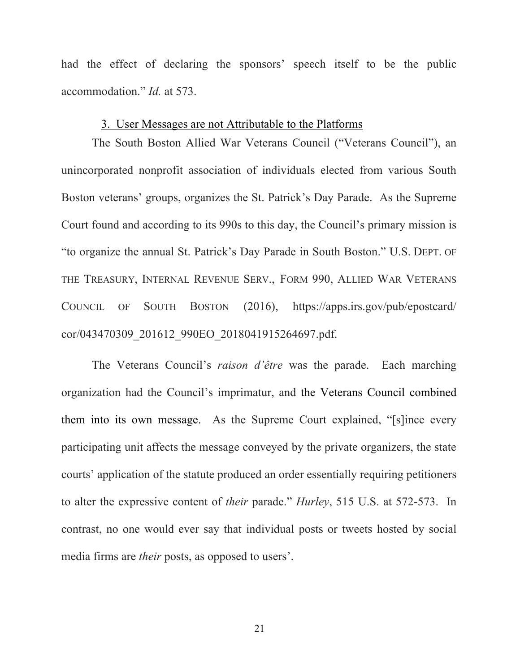had the effect of declaring the sponsors' speech itself to be the public accommodation." *Id.* at 573.

#### 3. User Messages are not Attributable to the Platforms

The South Boston Allied War Veterans Council ("Veterans Council"), an unincorporated nonprofit association of individuals elected from various South Boston veterans' groups, organizes the St. Patrick's Day Parade. As the Supreme Court found and according to its 990s to this day, the Council's primary mission is "to organize the annual St. Patrick's Day Parade in South Boston." U.S. DEPT. OF THE TREASURY, INTERNAL REVENUE SERV., FORM 990, ALLIED WAR VETERANS COUNCIL OF SOUTH BOSTON (2016), https://apps.irs.gov/pub/epostcard/ cor/043470309\_201612\_990EO\_2018041915264697.pdf.

The Veterans Council's *raison d'être* was the parade. Each marching organization had the Council's imprimatur, and the Veterans Council combined them into its own message. As the Supreme Court explained, "[s]ince every participating unit affects the message conveyed by the private organizers, the state courts' application of the statute produced an order essentially requiring petitioners to alter the expressive content of *their* parade." *Hurley*, 515 U.S. at 572-573. In contrast, no one would ever say that individual posts or tweets hosted by social media firms are *their* posts, as opposed to users'.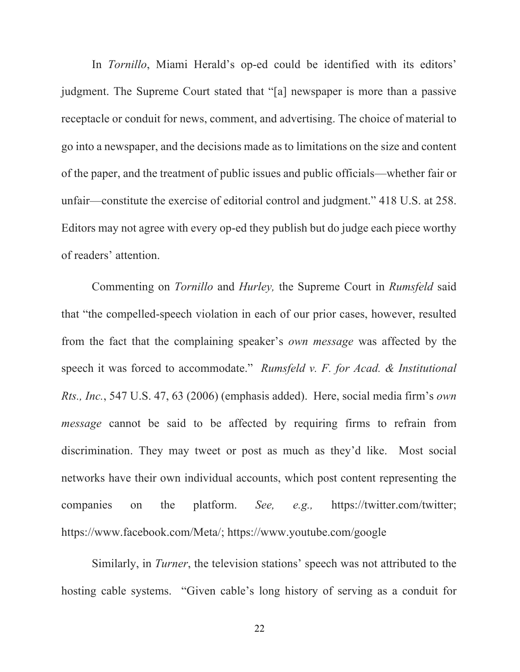In *Tornillo*, Miami Herald's op-ed could be identified with its editors' judgment. The Supreme Court stated that "[a] newspaper is more than a passive receptacle or conduit for news, comment, and advertising. The choice of material to go into a newspaper, and the decisions made as to limitations on the size and content of the paper, and the treatment of public issues and public officials—whether fair or unfair—constitute the exercise of editorial control and judgment." 418 U.S. at 258. Editors may not agree with every op-ed they publish but do judge each piece worthy of readers' attention.

Commenting on *Tornillo* and *Hurley,* the Supreme Court in *Rumsfeld* said that "the compelled-speech violation in each of our prior cases, however, resulted from the fact that the complaining speaker's *own message* was affected by the speech it was forced to accommodate." *Rumsfeld v. F. for Acad. & Institutional Rts., Inc.*, 547 U.S. 47, 63 (2006) (emphasis added). Here, social media firm's *own message* cannot be said to be affected by requiring firms to refrain from discrimination. They may tweet or post as much as they'd like. Most social networks have their own individual accounts, which post content representing the companies on the platform. *See, e.g.,* https://twitter.com/twitter; https://www.facebook.com/Meta/; https://www.youtube.com/google

Similarly, in *Turner*, the television stations' speech was not attributed to the hosting cable systems. "Given cable's long history of serving as a conduit for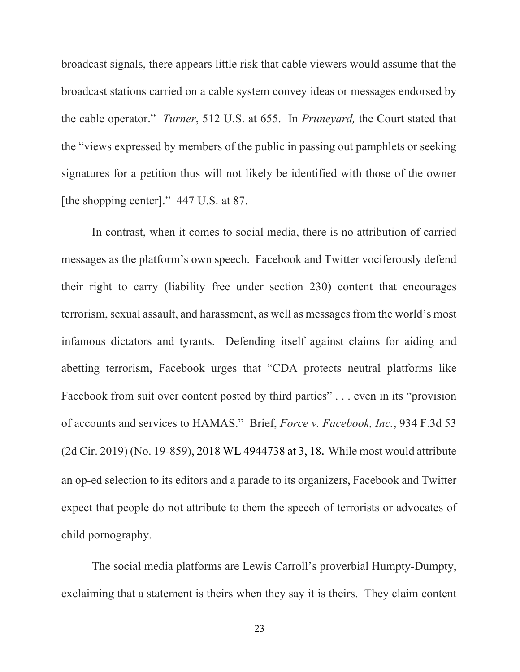broadcast signals, there appears little risk that cable viewers would assume that the broadcast stations carried on a cable system convey ideas or messages endorsed by the cable operator." *Turner*, 512 U.S. at 655. In *Pruneyard,* the Court stated that the "views expressed by members of the public in passing out pamphlets or seeking signatures for a petition thus will not likely be identified with those of the owner [the shopping center]." 447 U.S. at 87.

In contrast, when it comes to social media, there is no attribution of carried messages as the platform's own speech. Facebook and Twitter vociferously defend their right to carry (liability free under section 230) content that encourages terrorism, sexual assault, and harassment, as well as messages from the world's most infamous dictators and tyrants. Defending itself against claims for aiding and abetting terrorism, Facebook urges that "CDA protects neutral platforms like Facebook from suit over content posted by third parties" . . . even in its "provision" of accounts and services to HAMAS." Brief, *Force v. Facebook, Inc.*, 934 F.3d 53 (2d Cir. 2019) (No. 19-859), 2018 WL 4944738 at 3, 18. While most would attribute an op-ed selection to its editors and a parade to its organizers, Facebook and Twitter expect that people do not attribute to them the speech of terrorists or advocates of child pornography.

The social media platforms are Lewis Carroll's proverbial Humpty-Dumpty, exclaiming that a statement is theirs when they say it is theirs. They claim content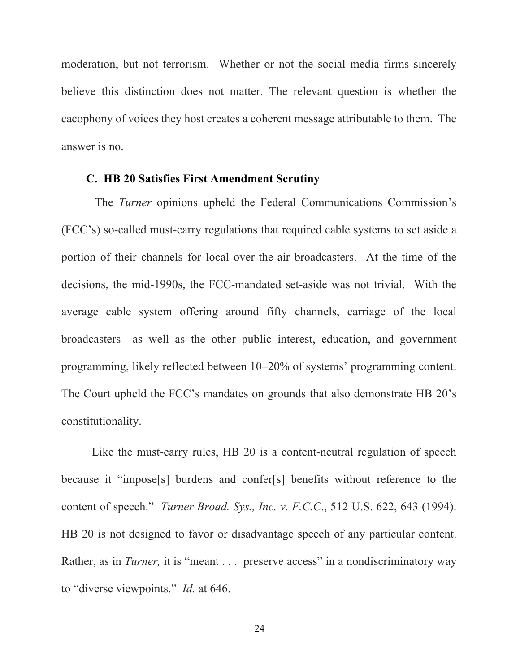moderation, but not terrorism. Whether or not the social media firms sincerely believe this distinction does not matter. The relevant question is whether the cacophony of voices they host creates a coherent message attributable to them. The answer is no.

#### **C. HB 20 Satisfies First Amendment Scrutiny**

The *Turner* opinions upheld the Federal Communications Commission's (FCC's) so-called must-carry regulations that required cable systems to set aside a portion of their channels for local over-the-air broadcasters. At the time of the decisions, the mid-1990s, the FCC-mandated set-aside was not trivial. With the average cable system offering around fifty channels, carriage of the local broadcasters—as well as the other public interest, education, and government programming, likely reflected between 10–20% of systems' programming content. The Court upheld the FCC's mandates on grounds that also demonstrate HB 20's constitutionality.

Like the must-carry rules, HB 20 is a content-neutral regulation of speech because it "impose[s] burdens and confer[s] benefits without reference to the content of speech." *Turner Broad. Sys., Inc. v. F.C.C*., 512 U.S. 622, 643 (1994). HB 20 is not designed to favor or disadvantage speech of any particular content. Rather, as in *Turner*, it is "meant . . . preserve access" in a nondiscriminatory way to "diverse viewpoints." *Id.* at 646.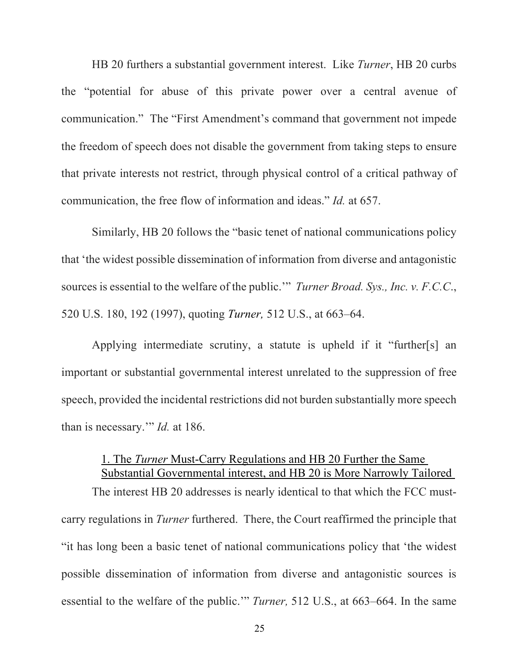HB 20 furthers a substantial government interest. Like *Turner*, HB 20 curbs the "potential for abuse of this private power over a central avenue of communication." The "First Amendment's command that government not impede the freedom of speech does not disable the government from taking steps to ensure that private interests not restrict, through physical control of a critical pathway of communication, the free flow of information and ideas." *Id.* at 657.

Similarly, HB 20 follows the "basic tenet of national communications policy that 'the widest possible dissemination of information from diverse and antagonistic sources is essential to the welfare of the public.'" *Turner Broad. Sys., Inc. v. F.C.C*., 520 U.S. 180, 192 (1997), quoting *Turner,* 512 U.S., at 663–64.

Applying intermediate scrutiny, a statute is upheld if it "further[s] an important or substantial governmental interest unrelated to the suppression of free speech, provided the incidental restrictions did not burden substantially more speech than is necessary.'" *Id.* at 186.

# 1. The *Turner* Must-Carry Regulations and HB 20 Further the Same Substantial Governmental interest, and HB 20 is More Narrowly Tailored

The interest HB 20 addresses is nearly identical to that which the FCC mustcarry regulations in *Turner* furthered. There, the Court reaffirmed the principle that "it has long been a basic tenet of national communications policy that 'the widest possible dissemination of information from diverse and antagonistic sources is essential to the welfare of the public.'" *Turner,* 512 U.S., at 663–664. In the same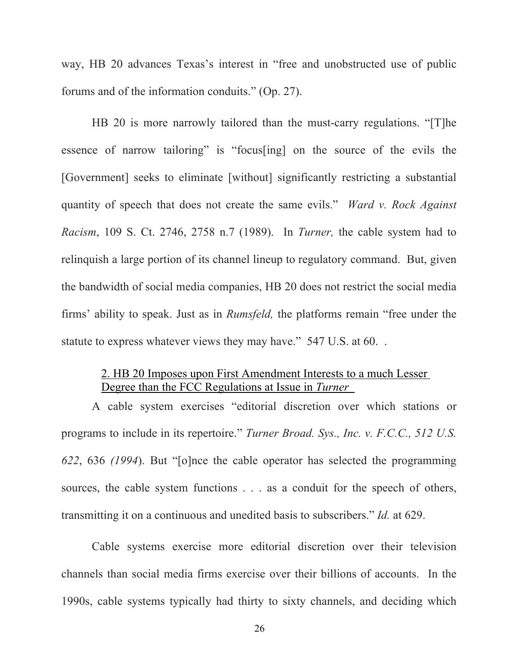way, HB 20 advances Texas's interest in "free and unobstructed use of public forums and of the information conduits." (Op. 27).

HB 20 is more narrowly tailored than the must-carry regulations. "[T]he essence of narrow tailoring" is "focus[ing] on the source of the evils the [Government] seeks to eliminate [without] significantly restricting a substantial quantity of speech that does not create the same evils." *Ward v. Rock Against Racism*, 109 S. Ct. 2746, 2758 n.7 (1989). In *Turner,* the cable system had to relinquish a large portion of its channel lineup to regulatory command. But, given the bandwidth of social media companies, HB 20 does not restrict the social media firms' ability to speak. Just as in *Rumsfeld,* the platforms remain "free under the statute to express whatever views they may have." 547 U.S. at 60. .

## 2. HB 20 Imposes upon First Amendment Interests to a much Lesser Degree than the FCC Regulations at Issue in *Turner*

A cable system exercises "editorial discretion over which stations or programs to include in its repertoire." *Turner Broad. Sys., Inc. v. F.C.C., 512 U.S. 622*, 636 *(1994*). But "[o]nce the cable operator has selected the programming sources, the cable system functions . . . as a conduit for the speech of others, transmitting it on a continuous and unedited basis to subscribers." *Id.* at 629.

Cable systems exercise more editorial discretion over their television channels than social media firms exercise over their billions of accounts. In the 1990s, cable systems typically had thirty to sixty channels, and deciding which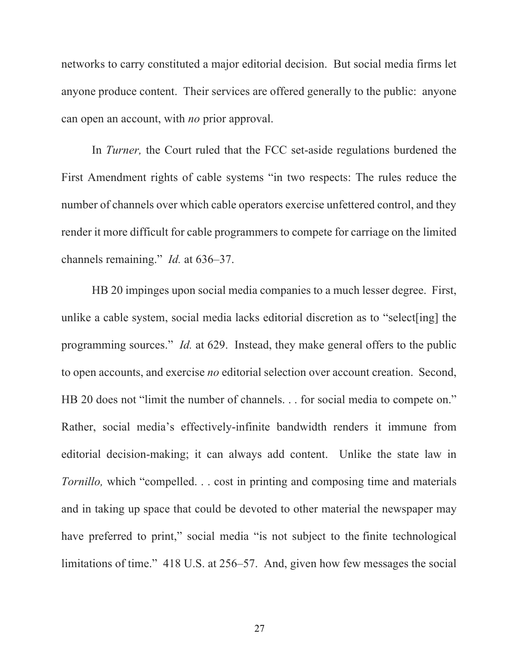networks to carry constituted a major editorial decision. But social media firms let anyone produce content. Their services are offered generally to the public: anyone can open an account, with *no* prior approval.

In *Turner,* the Court ruled that the FCC set-aside regulations burdened the First Amendment rights of cable systems "in two respects: The rules reduce the number of channels over which cable operators exercise unfettered control, and they render it more difficult for cable programmers to compete for carriage on the limited channels remaining." *Id.* at 636–37.

HB 20 impinges upon social media companies to a much lesser degree. First, unlike a cable system, social media lacks editorial discretion as to "select[ing] the programming sources." *Id.* at 629. Instead, they make general offers to the public to open accounts, and exercise *no* editorial selection over account creation. Second, HB 20 does not "limit the number of channels. . . for social media to compete on." Rather, social media's effectively-infinite bandwidth renders it immune from editorial decision-making; it can always add content. Unlike the state law in *Tornillo*, which "compelled. . . cost in printing and composing time and materials and in taking up space that could be devoted to other material the newspaper may have preferred to print," social media "is not subject to the finite technological limitations of time." 418 U.S. at 256–57. And, given how few messages the social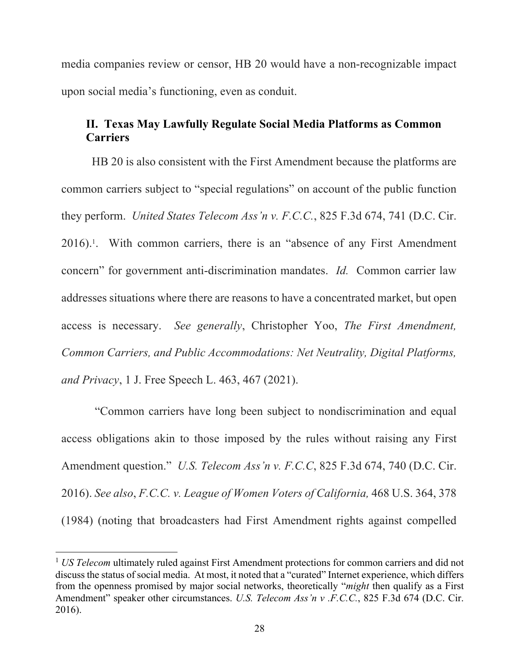media companies review or censor, HB 20 would have a non-recognizable impact upon social media's functioning, even as conduit.

## **II. Texas May Lawfully Regulate Social Media Platforms as Common Carriers**

HB 20 is also consistent with the First Amendment because the platforms are common carriers subject to "special regulations" on account of the public function they perform. *United States Telecom Ass'n v. F.C.C.*, 825 F.3d 674, 741 (D.C. Cir. 2016).1 . With common carriers, there is an "absence of any First Amendment concern" for government anti-discrimination mandates. *Id.* Common carrier law addresses situations where there are reasons to have a concentrated market, but open access is necessary. *See generally*, Christopher Yoo, *The First Amendment, Common Carriers, and Public Accommodations: Net Neutrality, Digital Platforms, and Privacy*, 1 J. Free Speech L. 463, 467 (2021).

"Common carriers have long been subject to nondiscrimination and equal access obligations akin to those imposed by the rules without raising any First Amendment question." *U.S. Telecom Ass'n v. F.C.C*, 825 F.3d 674, 740 (D.C. Cir. 2016). *See also*, *F.C.C. v. League of Women Voters of California,* 468 U.S. 364, 378 (1984) (noting that broadcasters had First Amendment rights against compelled

<sup>1</sup> *US Telecom* ultimately ruled against First Amendment protections for common carriers and did not discuss the status of social media. At most, it noted that a "curated" Internet experience, which differs from the openness promised by major social networks, theoretically "*might* then qualify as a First Amendment" speaker other circumstances. *U.S. Telecom Ass'n v .F.C.C.*, 825 F.3d 674 (D.C. Cir. 2016).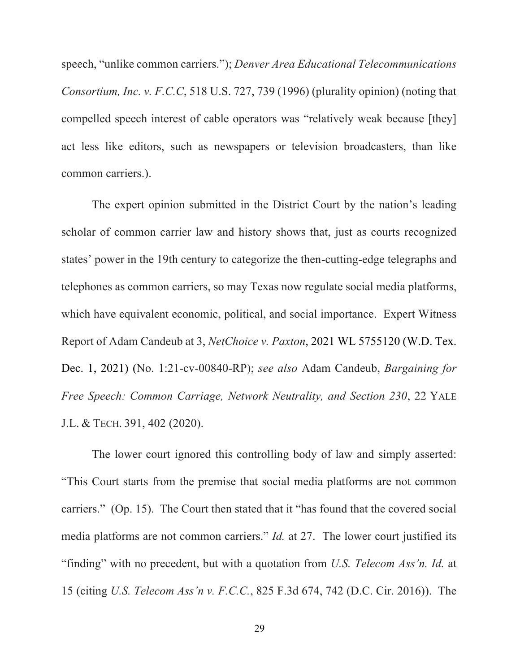speech, "unlike common carriers."); *Denver Area Educational Telecommunications Consortium, Inc. v. F.C.C*, 518 U.S. 727, 739 (1996) (plurality opinion) (noting that compelled speech interest of cable operators was "relatively weak because [they] act less like editors, such as newspapers or television broadcasters, than like common carriers.).

The expert opinion submitted in the District Court by the nation's leading scholar of common carrier law and history shows that, just as courts recognized states' power in the 19th century to categorize the then-cutting-edge telegraphs and telephones as common carriers, so may Texas now regulate social media platforms, which have equivalent economic, political, and social importance. Expert Witness Report of Adam Candeub at 3, *NetChoice v. Paxton*, 2021 WL 5755120 (W.D. Tex. Dec. 1, 2021) (No. 1:21-cv-00840-RP); *see also* Adam Candeub, *Bargaining for Free Speech: Common Carriage, Network Neutrality, and Section 230*, 22 YALE J.L. & TECH. 391, 402 (2020).

The lower court ignored this controlling body of law and simply asserted: "This Court starts from the premise that social media platforms are not common carriers." (Op. 15). The Court then stated that it "has found that the covered social media platforms are not common carriers." *Id.* at 27. The lower court justified its "finding" with no precedent, but with a quotation from *U.S. Telecom Ass'n. Id.* at 15 (citing *U.S. Telecom Ass'n v. F.C.C.*, 825 F.3d 674, 742 (D.C. Cir. 2016)). The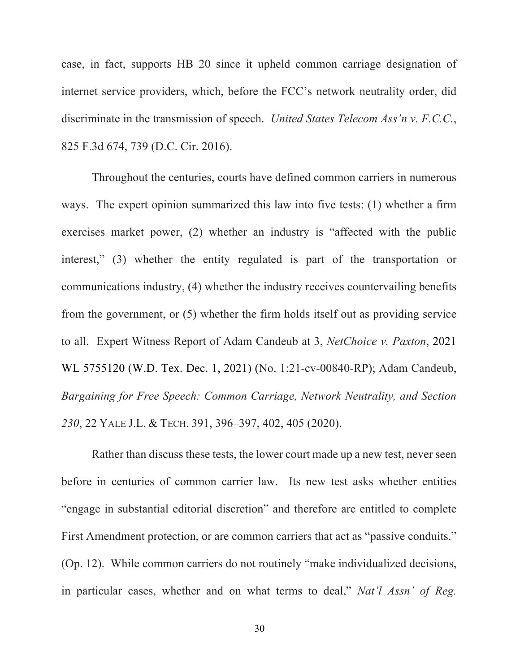case, in fact, supports HB 20 since it upheld common carriage designation of internet service providers, which, before the FCC's network neutrality order, did discriminate in the transmission of speech. *United States Telecom Ass'n v. F.C.C.*, 825 F.3d 674, 739 (D.C. Cir. 2016).

Throughout the centuries, courts have defined common carriers in numerous ways. The expert opinion summarized this law into five tests: (1) whether a firm exercises market power, (2) whether an industry is "affected with the public interest," (3) whether the entity regulated is part of the transportation or communications industry, (4) whether the industry receives countervailing benefits from the government, or (5) whether the firm holds itself out as providing service to all. Expert Witness Report of Adam Candeub at 3, *NetChoice v. Paxton*, 2021 WL 5755120 (W.D. Tex. Dec. 1, 2021) (No. 1:21-cv-00840-RP); Adam Candeub, *Bargaining for Free Speech: Common Carriage, Network Neutrality, and Section 230*, 22 YALE J.L. & TECH. 391, 396–397, 402, 405 (2020).

Rather than discuss these tests, the lower court made up a new test, never seen before in centuries of common carrier law. Its new test asks whether entities "engage in substantial editorial discretion" and therefore are entitled to complete First Amendment protection, or are common carriers that act as "passive conduits." (Op. 12). While common carriers do not routinely "make individualized decisions, in particular cases, whether and on what terms to deal," *Nat'l Assn' of Reg.*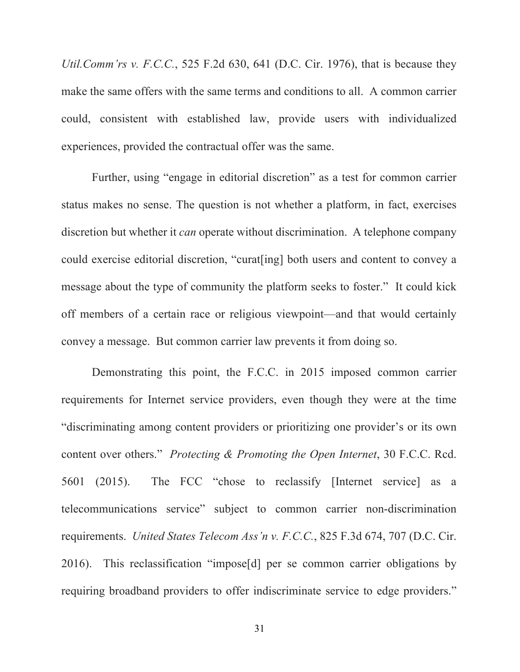*Util.Comm'rs v. F.C.C.*, 525 F.2d 630, 641 (D.C. Cir. 1976), that is because they make the same offers with the same terms and conditions to all. A common carrier could, consistent with established law, provide users with individualized experiences, provided the contractual offer was the same.

Further, using "engage in editorial discretion" as a test for common carrier status makes no sense. The question is not whether a platform, in fact, exercises discretion but whether it *can* operate without discrimination. A telephone company could exercise editorial discretion, "curat[ing] both users and content to convey a message about the type of community the platform seeks to foster." It could kick off members of a certain race or religious viewpoint—and that would certainly convey a message. But common carrier law prevents it from doing so.

Demonstrating this point, the F.C.C. in 2015 imposed common carrier requirements for Internet service providers, even though they were at the time "discriminating among content providers or prioritizing one provider's or its own content over others." *Protecting & Promoting the Open Internet*, 30 F.C.C. Rcd. 5601 (2015). The FCC "chose to reclassify [Internet service] as a telecommunications service" subject to common carrier non-discrimination requirements. *United States Telecom Ass'n v. F.C.C.*, 825 F.3d 674, 707 (D.C. Cir. 2016). This reclassification "impose[d] per se common carrier obligations by requiring broadband providers to offer indiscriminate service to edge providers."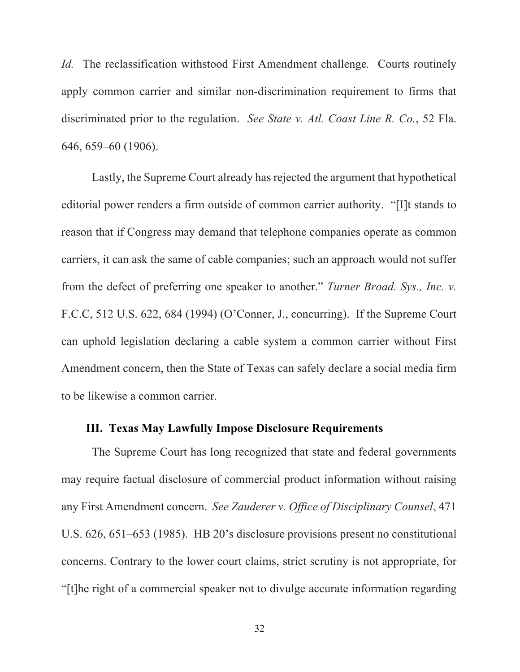*Id.* The reclassification withstood First Amendment challenge*.* Courts routinely apply common carrier and similar non-discrimination requirement to firms that discriminated prior to the regulation. *See State v. Atl. Coast Line R. Co.*, 52 Fla. 646, 659–60 (1906).

Lastly, the Supreme Court already has rejected the argument that hypothetical editorial power renders a firm outside of common carrier authority. "[I]t stands to reason that if Congress may demand that telephone companies operate as common carriers, it can ask the same of cable companies; such an approach would not suffer from the defect of preferring one speaker to another." *Turner Broad. Sys., Inc. v.*  F.C.C, 512 U.S. 622, 684 (1994) (O'Conner, J., concurring). If the Supreme Court can uphold legislation declaring a cable system a common carrier without First Amendment concern, then the State of Texas can safely declare a social media firm to be likewise a common carrier.

## **III. Texas May Lawfully Impose Disclosure Requirements**

The Supreme Court has long recognized that state and federal governments may require factual disclosure of commercial product information without raising any First Amendment concern. *See Zauderer v. Office of Disciplinary Counsel*, 471 U.S. 626, 651–653 (1985). HB 20's disclosure provisions present no constitutional concerns. Contrary to the lower court claims, strict scrutiny is not appropriate, for "[t]he right of a commercial speaker not to divulge accurate information regarding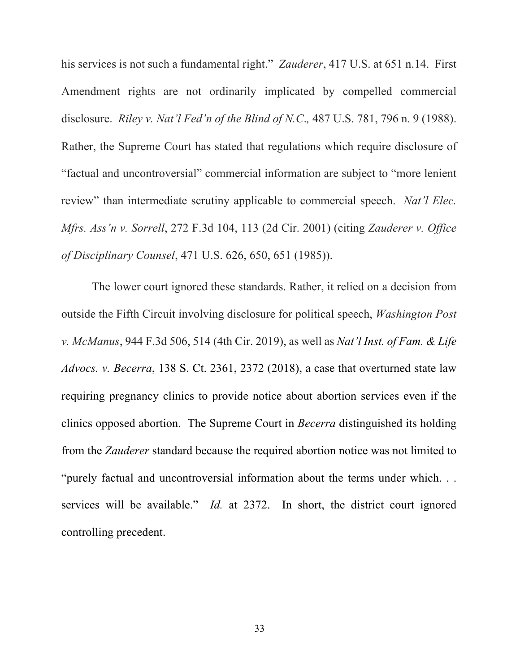his services is not such a fundamental right." *Zauderer*, 417 U.S. at 651 n.14. First Amendment rights are not ordinarily implicated by compelled commercial disclosure. *Riley v. Nat'l Fed'n of the Blind of N.C*.*,* 487 U.S. 781, 796 n. 9 (1988). Rather, the Supreme Court has stated that regulations which require disclosure of "factual and uncontroversial" commercial information are subject to "more lenient review" than intermediate scrutiny applicable to commercial speech. *Nat'l Elec. Mfrs. Ass'n v. Sorrell*, 272 F.3d 104, 113 (2d Cir. 2001) (citing *Zauderer v. Office of Disciplinary Counsel*, 471 U.S. 626, 650, 651 (1985)).

The lower court ignored these standards. Rather, it relied on a decision from outside the Fifth Circuit involving disclosure for political speech, *Washington Post v. McManus*, 944 F.3d 506, 514 (4th Cir. 2019), as well as *Nat'l Inst. of Fam. & Life Advocs. v. Becerra*, 138 S. Ct. 2361, 2372 (2018), a case that overturned state law requiring pregnancy clinics to provide notice about abortion services even if the clinics opposed abortion. The Supreme Court in *Becerra* distinguished its holding from the *Zauderer* standard because the required abortion notice was not limited to "purely factual and uncontroversial information about the terms under which. . . services will be available." *Id.* at 2372. In short, the district court ignored controlling precedent.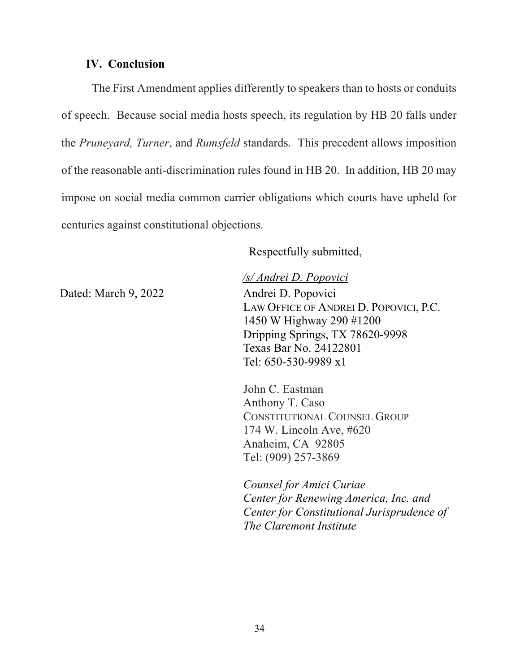#### **IV. Conclusion**

The First Amendment applies differently to speakers than to hosts or conduits of speech. Because social media hosts speech, its regulation by HB 20 falls under the *Pruneyard, Turner*, and *Rumsfeld* standards. This precedent allows imposition of the reasonable anti-discrimination rules found in HB 20. In addition, HB 20 may impose on social media common carrier obligations which courts have upheld for centuries against constitutional objections.

Respectfully submitted,

Dated: March 9, 2022 Andrei D. Popovici

*/s/ Andrei D. Popovici* LAW OFFICE OF ANDREI D. POPOVICI, P.C. 1450 W Highway 290 #1200 Dripping Springs, TX 78620-9998 Texas Bar No. 24122801 Tel: 650-530-9989 x1

John C. Eastman Anthony T. Caso CONSTITUTIONAL COUNSEL GROUP 174 W. Lincoln Ave, #620 Anaheim, CA 92805 Tel: (909) 257-3869

*Counsel for Amici Curiae Center for Renewing America, Inc. and Center for Constitutional Jurisprudence of The Claremont Institute*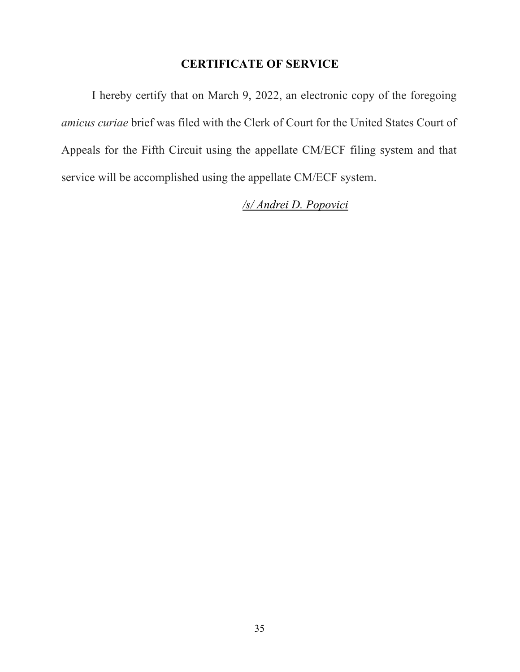# **CERTIFICATE OF SERVICE**

I hereby certify that on March 9, 2022, an electronic copy of the foregoing *amicus curiae* brief was filed with the Clerk of Court for the United States Court of Appeals for the Fifth Circuit using the appellate CM/ECF filing system and that service will be accomplished using the appellate CM/ECF system.

*/s/ Andrei D. Popovici*